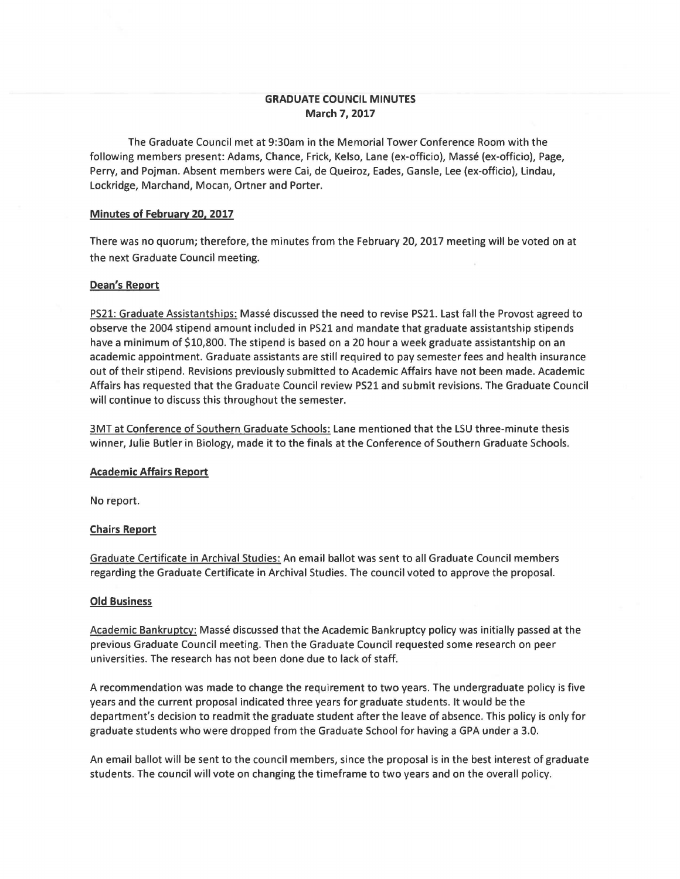# **GRADUATE COUNCIL MINUTES March 7, 2017**

The Graduate Council met at 9:30am in the Memorial Tower Conference Room with the following members present: Adams, Chance, Frick, Kelso, Lane (ex-officio), Masse (ex-officio), Page, Perry, and Pojman. Absent members were Cai, de Queiroz, Eades, Gansle, Lee (ex-officio), Lindau, Lockridge, Marchand, Mocan, Ortner and Porter.

### **Minutes of February 20, 2017**

There was no quorum; therefore, the minutes from the February 20, 2017 meeting will be voted on at the next Graduate Council meeting.

### **Dean's Report**

PS21: Graduate Assistantships: Masse discussed the need to revise PS21. Last fall the Provost agreed to observe the 2004 stipend amount included in PS21 and mandate that graduate assistantship stipends have a minimum of \$10,800. The stipend is based on a 20 hour a week graduate assistantship on an academic appointment. Graduate assistants are still required to pay semester fees and health insurance out of their stipend. Revisions previously submitted to Academic Affairs have not been made. Academic Affairs has requested that the Graduate Council review PS21 and submit revisions. The Graduate Council will continue to discuss this throughout the semester.

3MT at Conference of Southern Graduate Schools: Lane mentioned that the LSU three-minute thesis winner, Julie Butler in Biology, made it to the finals at the Conference of Southern Graduate Schools.

#### **Academic Affairs Report**

No report.

### **Chairs Report**

Graduate Certificate in Archival Studies: An email ballot was sent to all Graduate Council members regarding the Graduate Certificate in Archival Studies. The council voted to approve the proposal.

#### **Old Business**

Academic Bankruptcy: Masse discussed that the Academic Bankruptcy policy was initially passed at the previous Graduate Council meeting. Then the Graduate Council requested some research on peer universities. The research has not been done due to lack of staff.

A recommendation was made to change the requirement to two years. The undergraduate policy is five years and the current proposal indicated three years for graduate students. It would be the department's decision to readmit the graduate student after the leave of absence. This policy is only for graduate students who were dropped from the Graduate School for having a GPA under a 3.0.

An email ballot will be sent to the council members, since the proposal is in the best interest of graduate students. The council will vote on changing the timeframe to two years and on the overall policy.